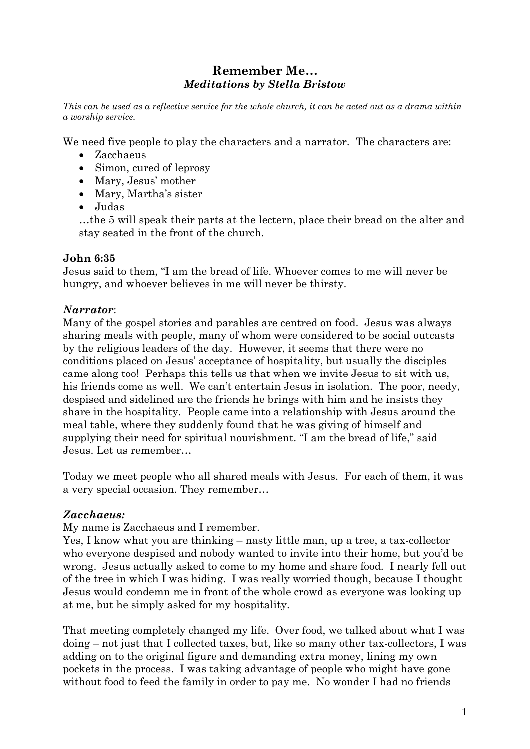# **Remember Me…** *Meditations by Stella Bristow*

*This can be used as a reflective service for the whole church, it can be acted out as a drama within a worship service.*

We need five people to play the characters and a narrator. The characters are:

- Zacchaeus
- Simon, cured of leprosy
- Mary, Jesus' mother
- Mary, Martha's sister
- Judas

…the 5 will speak their parts at the lectern, place their bread on the alter and stay seated in the front of the church.

### **John 6:35**

Jesus said to them, "I am the bread of life. Whoever comes to me will never be hungry, and whoever believes in me will never be thirsty.

### *Narrator*:

Many of the gospel stories and parables are centred on food. Jesus was always sharing meals with people, many of whom were considered to be social outcasts by the religious leaders of the day. However, it seems that there were no conditions placed on Jesus' acceptance of hospitality, but usually the disciples came along too! Perhaps this tells us that when we invite Jesus to sit with us, his friends come as well. We can't entertain Jesus in isolation. The poor, needy, despised and sidelined are the friends he brings with him and he insists they share in the hospitality. People came into a relationship with Jesus around the meal table, where they suddenly found that he was giving of himself and supplying their need for spiritual nourishment. "I am the bread of life," said Jesus. Let us remember…

Today we meet people who all shared meals with Jesus. For each of them, it was a very special occasion. They remember…

## *Zacchaeus:*

My name is Zacchaeus and I remember.

Yes, I know what you are thinking – nasty little man, up a tree, a tax-collector who everyone despised and nobody wanted to invite into their home, but you'd be wrong. Jesus actually asked to come to my home and share food. I nearly fell out of the tree in which I was hiding. I was really worried though, because I thought Jesus would condemn me in front of the whole crowd as everyone was looking up at me, but he simply asked for my hospitality.

That meeting completely changed my life. Over food, we talked about what I was doing – not just that I collected taxes, but, like so many other tax-collectors, I was adding on to the original figure and demanding extra money, lining my own pockets in the process. I was taking advantage of people who might have gone without food to feed the family in order to pay me. No wonder I had no friends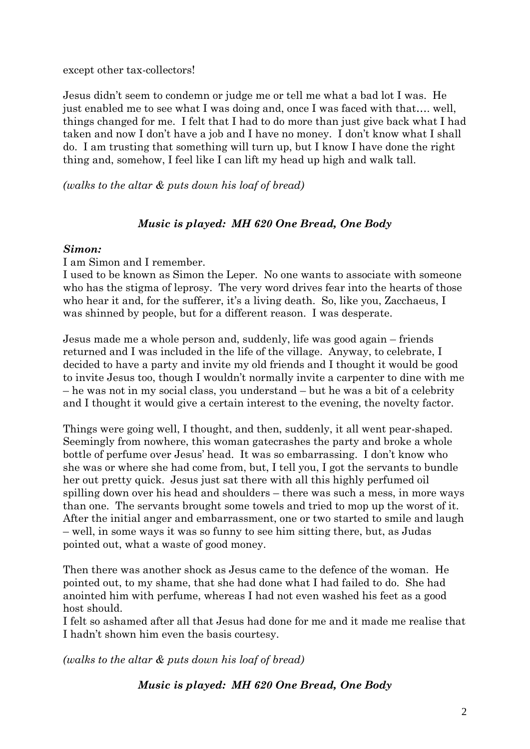except other tax-collectors!

Jesus didn't seem to condemn or judge me or tell me what a bad lot I was. He just enabled me to see what I was doing and, once I was faced with that…. well, things changed for me. I felt that I had to do more than just give back what I had taken and now I don't have a job and I have no money. I don't know what I shall do. I am trusting that something will turn up, but I know I have done the right thing and, somehow, I feel like I can lift my head up high and walk tall.

*(walks to the altar & puts down his loaf of bread)*

## *Music is played: MH 620 One Bread, One Body*

#### *Simon:*

I am Simon and I remember.

I used to be known as Simon the Leper. No one wants to associate with someone who has the stigma of leprosy. The very word drives fear into the hearts of those who hear it and, for the sufferer, it's a living death. So, like you, Zacchaeus, I was shinned by people, but for a different reason. I was desperate.

Jesus made me a whole person and, suddenly, life was good again – friends returned and I was included in the life of the village. Anyway, to celebrate, I decided to have a party and invite my old friends and I thought it would be good to invite Jesus too, though I wouldn't normally invite a carpenter to dine with me – he was not in my social class, you understand – but he was a bit of a celebrity and I thought it would give a certain interest to the evening, the novelty factor.

Things were going well, I thought, and then, suddenly, it all went pear-shaped. Seemingly from nowhere, this woman gatecrashes the party and broke a whole bottle of perfume over Jesus' head. It was so embarrassing. I don't know who she was or where she had come from, but, I tell you, I got the servants to bundle her out pretty quick. Jesus just sat there with all this highly perfumed oil spilling down over his head and shoulders – there was such a mess, in more ways than one. The servants brought some towels and tried to mop up the worst of it. After the initial anger and embarrassment, one or two started to smile and laugh – well, in some ways it was so funny to see him sitting there, but, as Judas pointed out, what a waste of good money.

Then there was another shock as Jesus came to the defence of the woman. He pointed out, to my shame, that she had done what I had failed to do. She had anointed him with perfume, whereas I had not even washed his feet as a good host should.

I felt so ashamed after all that Jesus had done for me and it made me realise that I hadn't shown him even the basis courtesy.

*(walks to the altar & puts down his loaf of bread)*

*Music is played: MH 620 One Bread, One Body*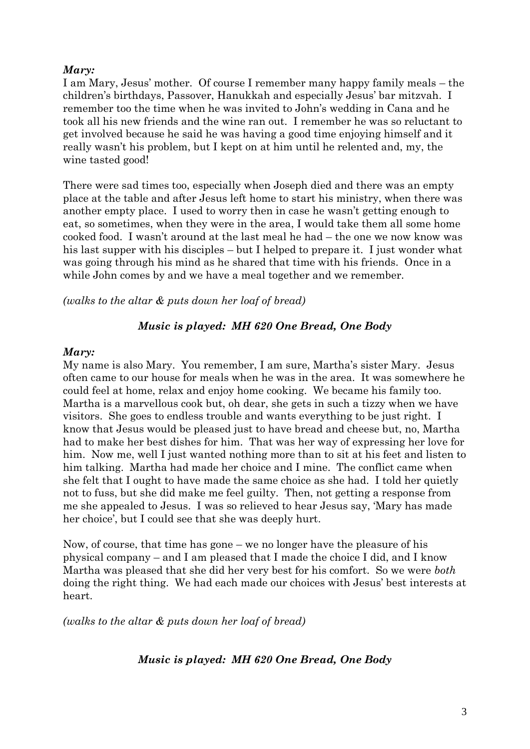### *Mary:*

I am Mary, Jesus' mother. Of course I remember many happy family meals – the children's birthdays, Passover, Hanukkah and especially Jesus' bar mitzvah. I remember too the time when he was invited to John's wedding in Cana and he took all his new friends and the wine ran out. I remember he was so reluctant to get involved because he said he was having a good time enjoying himself and it really wasn't his problem, but I kept on at him until he relented and, my, the wine tasted good!

There were sad times too, especially when Joseph died and there was an empty place at the table and after Jesus left home to start his ministry, when there was another empty place. I used to worry then in case he wasn't getting enough to eat, so sometimes, when they were in the area, I would take them all some home cooked food. I wasn't around at the last meal he had – the one we now know was his last supper with his disciples – but I helped to prepare it. I just wonder what was going through his mind as he shared that time with his friends. Once in a while John comes by and we have a meal together and we remember.

*(walks to the altar & puts down her loaf of bread)*

## *Music is played: MH 620 One Bread, One Body*

#### *Mary:*

My name is also Mary. You remember, I am sure, Martha's sister Mary. Jesus often came to our house for meals when he was in the area. It was somewhere he could feel at home, relax and enjoy home cooking. We became his family too. Martha is a marvellous cook but, oh dear, she gets in such a tizzy when we have visitors. She goes to endless trouble and wants everything to be just right. I know that Jesus would be pleased just to have bread and cheese but, no, Martha had to make her best dishes for him. That was her way of expressing her love for him. Now me, well I just wanted nothing more than to sit at his feet and listen to him talking. Martha had made her choice and I mine. The conflict came when she felt that I ought to have made the same choice as she had. I told her quietly not to fuss, but she did make me feel guilty. Then, not getting a response from me she appealed to Jesus. I was so relieved to hear Jesus say, 'Mary has made her choice', but I could see that she was deeply hurt.

Now, of course, that time has gone – we no longer have the pleasure of his physical company – and I am pleased that I made the choice I did, and I know Martha was pleased that she did her very best for his comfort. So we were *both* doing the right thing. We had each made our choices with Jesus' best interests at heart.

*(walks to the altar & puts down her loaf of bread)*

## *Music is played: MH 620 One Bread, One Body*